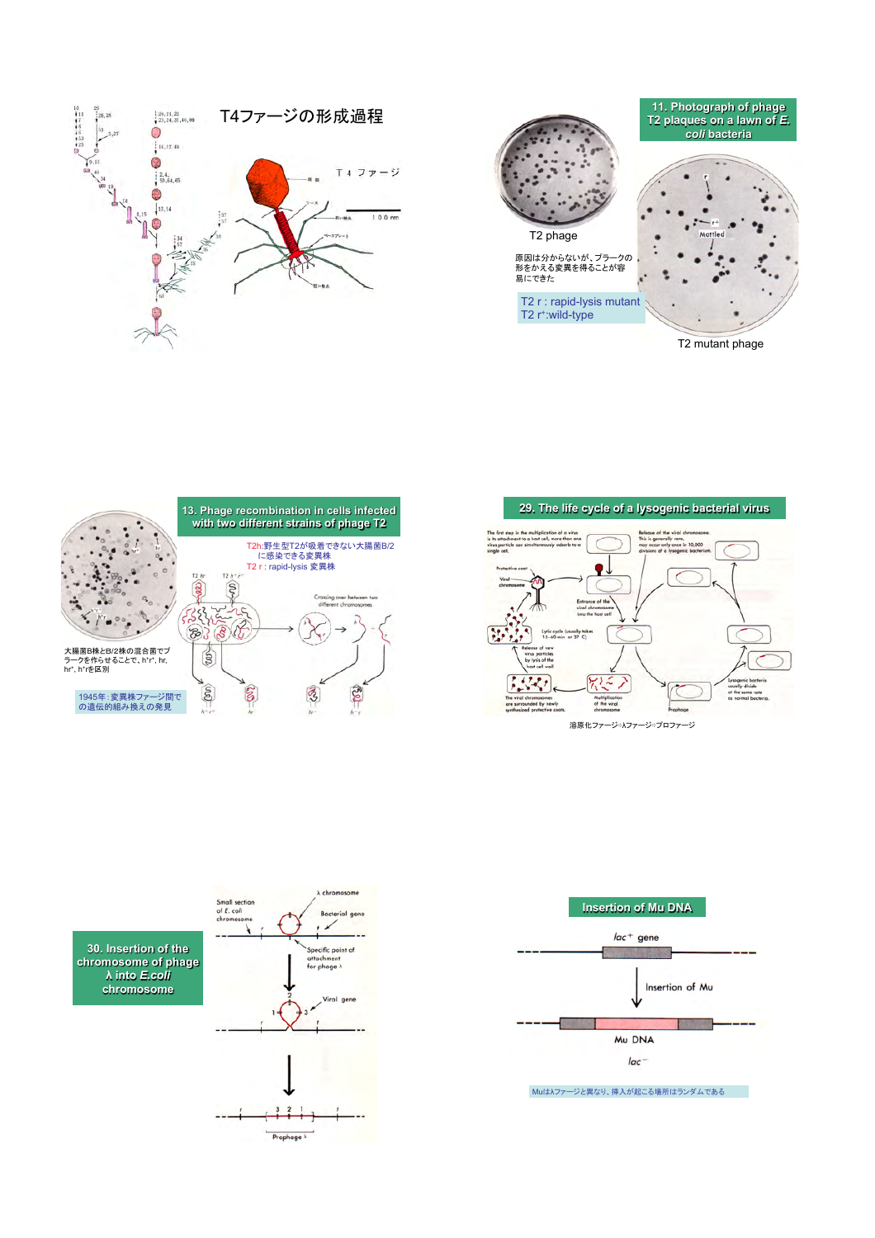











**30. Insertion of the chromosome of phage ! into** *E.coli* **chromosome** 





Muは!ファージと異なり、挿入が起こる場所はランダムである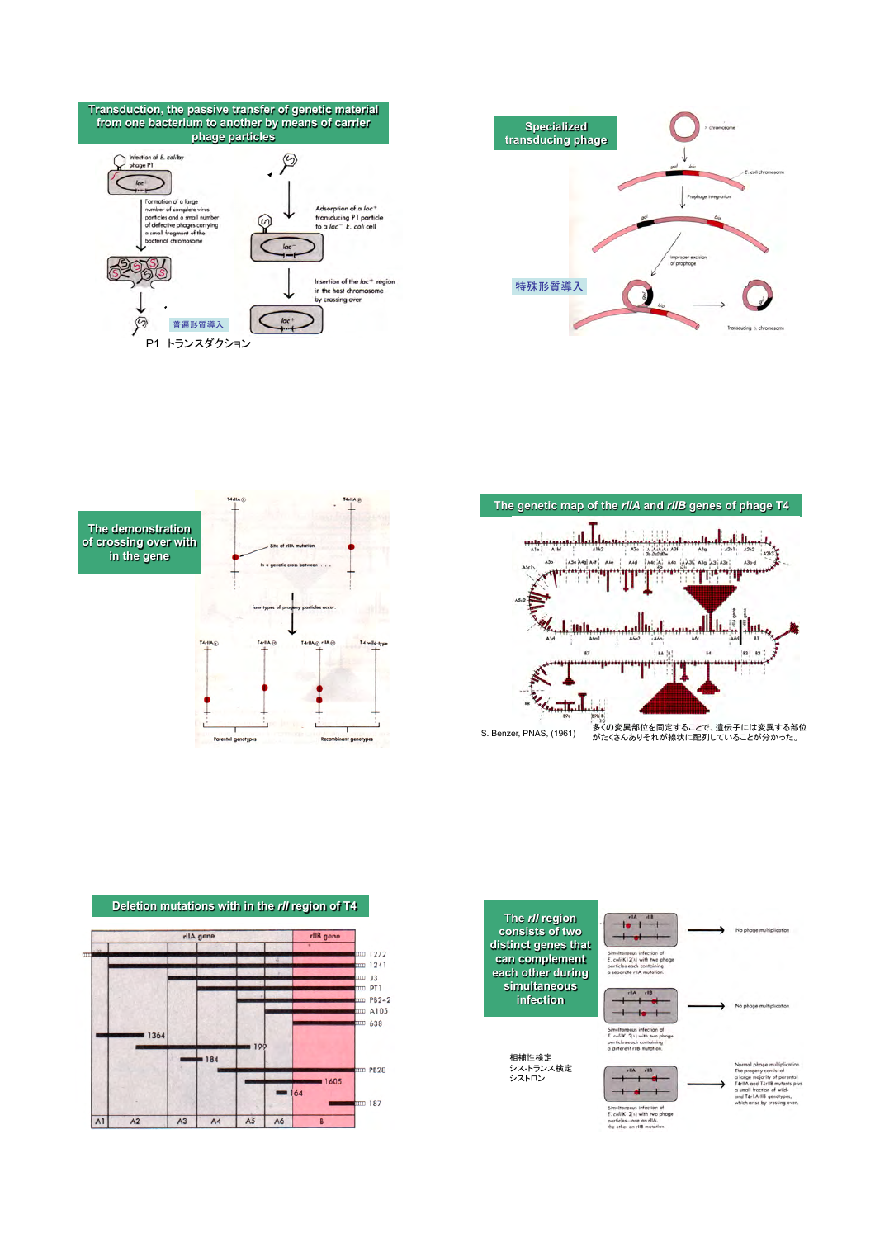









![](_page_1_Figure_5.jpeg)